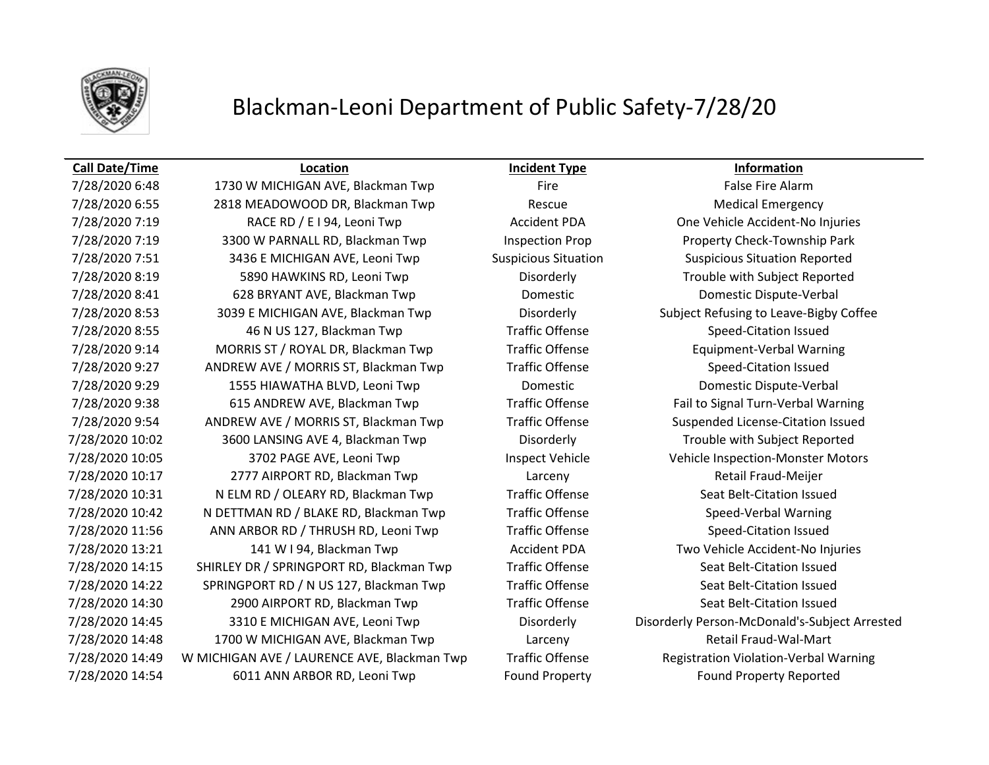

## Blackman-Leoni Department of Public Safety-7/28/20

## **Call Date/Time Location Incident Type Information**

7/28/2020 6:48 1730 W MICHIGAN AVE, Blackman Twp Fire Fire Fire False Fire Alarm 7/28/2020 6:55 2818 MEADOWOOD DR, Blackman Twp Rescue Rescue Medical Emergency 7/28/2020 7:19 RACE RD / E I 94, Leoni Twp Accident PDA One Vehicle Accident-No Injuries 7/28/2020 7:19 3300 W PARNALL RD, Blackman Twp Inspection Prop Property Check-Township Park 7/28/2020 7:51 3436 E MICHIGAN AVE, Leoni Twp Suspicious Situation Suspicious Situation Reported 7/28/2020 8:19 5890 HAWKINS RD, Leoni Twp Disorderly Trouble with Subject Reported 7/28/2020 8:41 628 BRYANT AVE, Blackman Twp Domestic Domestic Dispute-Verbal 7/28/2020 8:53 3039 E MICHIGAN AVE, Blackman Twp Disorderly Subject Refusing to Leave-Bigby Coffee 7/28/2020 8:55 46 N US 127, Blackman Twp Traffic Offense Speed-Citation Issued 7/28/2020 9:14 MORRIS ST / ROYAL DR, Blackman Twp Traffic Offense Equipment-Verbal Warning 7/28/2020 9:27 ANDREW AVE / MORRIS ST, Blackman Twp Traffic Offense Speed-Citation Issued 7/28/2020 9:29 1555 HIAWATHA BLVD, Leoni Twp Domestic Domestic Dispute-Verbal 7/28/2020 9:38 615 ANDREW AVE, Blackman Twp Traffic Offense Fail to Signal Turn-Verbal Warning 7/28/2020 9:54 ANDREW AVE / MORRIS ST, Blackman Twp Traffic Offense Suspended License-Citation Issued 7/28/2020 10:02 3600 LANSING AVE 4, Blackman Twp Disorderly Trouble with Subject Reported 7/28/2020 10:05 3702 PAGE AVE, Leoni Twp Inspect Vehicle Vehicle Inspection-Monster Motors 7/28/2020 10:17 2777 AIRPORT RD, Blackman Twp Larceny Retail Fraud-Meijer 7/28/2020 10:31 N ELM RD / OLEARY RD, Blackman Twp Traffic Offense Seat Belt-Citation Issued 7/28/2020 10:42 N DETTMAN RD / BLAKE RD, Blackman Twp Traffic Offense Speed-Verbal Warning 7/28/2020 11:56 ANN ARBOR RD / THRUSH RD, Leoni Twp Traffic Offense Speed-Citation Issued 7/28/2020 13:21 141 W I 94, Blackman Twp **Accident PDA** Two Vehicle Accident-No Injuries 7/28/2020 14:15 SHIRLEY DR / SPRINGPORT RD, Blackman Twp Traffic Offense Seat Belt-Citation Issued 7/28/2020 14:22 SPRINGPORT RD / N US 127, Blackman Twp Traffic Offense Seat Belt-Citation Issued 7/28/2020 14:30 2900 AIRPORT RD, Blackman Twp Traffic Offense Seat Belt-Citation Issued 7/28/2020 14:48 1700 W MICHIGAN AVE, Blackman Twp Larceny Larceny Retail Fraud-Wal-Mart 7/28/2020 14:49 W MICHIGAN AVE / LAURENCE AVE, Blackman Twp Traffic Offense Registration Violation-Verbal Warning 7/28/2020 14:54 6011 ANN ARBOR RD, Leoni Twp Found Property Found Property Reported

7/28/2020 14:45 3310 E MICHIGAN AVE, Leoni Twp Disorderly Disorderly Person-McDonald's-Subject Arrested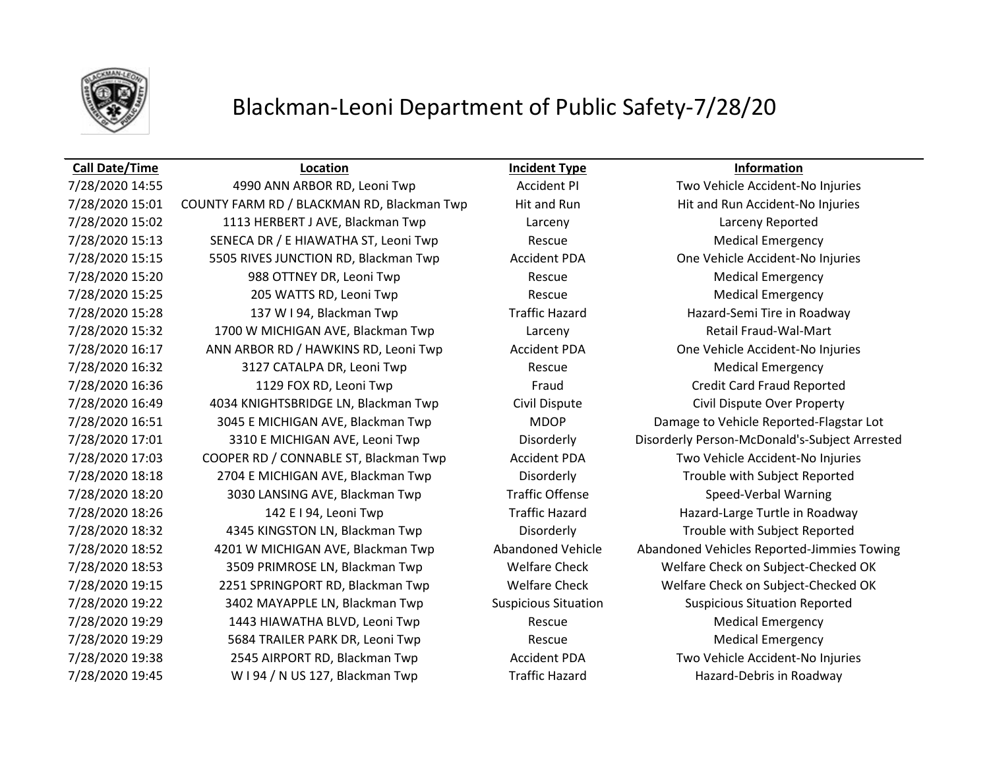

## Blackman-Leoni Department of Public Safety-7/28/20

### **Call Date/Time Location Incident Type Information**

7/28/2020 15:01 COUNTY FARM RD / BLACKMAN RD, Blackman Twp Hit and Run Hit and Run Accident-No Injuries 7/28/2020 15:02 1113 HERBERT J AVE, Blackman Twp Larceny Larceny Reported 7/28/2020 15:13 SENECA DR / E HIAWATHA ST, Leoni Twp Rescue Rescue Medical Emergency 7/28/2020 15:15 5505 RIVES JUNCTION RD, Blackman Twp Accident PDA One Vehicle Accident-No Injuries 7/28/2020 15:20 988 OTTNEY DR, Leoni Twp Rescue Rescue Medical Emergency 7/28/2020 15:25 205 WATTS RD, Leoni Twp Rescue Rescue Medical Emergency 7/28/2020 15:28 137 W I 94, Blackman Twp Traffic Hazard Hazard-Semi Tire in Roadway 7/28/2020 15:32 1700 W MICHIGAN AVE, Blackman Twp Larceny Retail Fraud-Wal-Mart 7/28/2020 16:17 ANN ARBOR RD / HAWKINS RD, Leoni Twp Accident PDA One Vehicle Accident-No Injuries 7/28/2020 16:32 3127 CATALPA DR, Leoni Twp Rescue Medical Emergency 7/28/2020 16:36 1129 FOX RD, Leoni Twp Fraud Credit Card Fraud Reported 7/28/2020 16:49 4034 KNIGHTSBRIDGE LN, Blackman Twp Civil Dispute Civil Dispute Over Property 7/28/2020 16:51 3045 E MICHIGAN AVE, Blackman Twp MDOP Damage to Vehicle Reported-Flagstar Lot 7/28/2020 17:03 COOPER RD / CONNABLE ST, Blackman Twp Accident PDA Two Vehicle Accident-No Injuries 7/28/2020 18:18 2704 E MICHIGAN AVE, Blackman Twp Disorderly Trouble with Subject Reported 7/28/2020 18:20 3030 LANSING AVE, Blackman Twp Traffic Offense Speed-Verbal Warning 7/28/2020 18:26 142 E I 94, Leoni Twp Traffic Hazard Hazard Hazard-Large Turtle in Roadway 7/28/2020 18:32 4345 KINGSTON LN, Blackman Twp Disorderly Trouble with Subject Reported 7/28/2020 18:53 3509 PRIMROSE LN, Blackman Twp Welfare Check Welfare Check on Subject-Checked OK 7/28/2020 19:15 2251 SPRINGPORT RD, Blackman Twp Welfare Check Welfare Check on Subject-Checked OK 7/28/2020 19:22 3402 MAYAPPLE LN, Blackman Twp Suspicious Situation Suspicious Situation Reported 7/28/2020 19:29 1443 HIAWATHA BLVD, Leoni Twp Rescue Medical Emergency 7/28/2020 19:29 5684 TRAILER PARK DR, Leoni Twp Rescue Rescue Medical Emergency 7/28/2020 19:38 2545 AIRPORT RD, Blackman Twp Accident PDA Two Vehicle Accident-No Injuries 7/28/2020 19:45 W I 94 / N US 127, Blackman Twp Traffic Hazard Hazard-Debris in Roadway

7/28/2020 14:55 4990 ANN ARBOR RD, Leoni Twp Accident PI Two Vehicle Accident-No Injuries 7/28/2020 17:01 3310 E MICHIGAN AVE, Leoni Twp Disorderly Disorderly Person-McDonald's-Subject Arrested 7/28/2020 18:52 4201 W MICHIGAN AVE, Blackman Twp Abandoned Vehicle Abandoned Vehicles Reported-Jimmies Towing